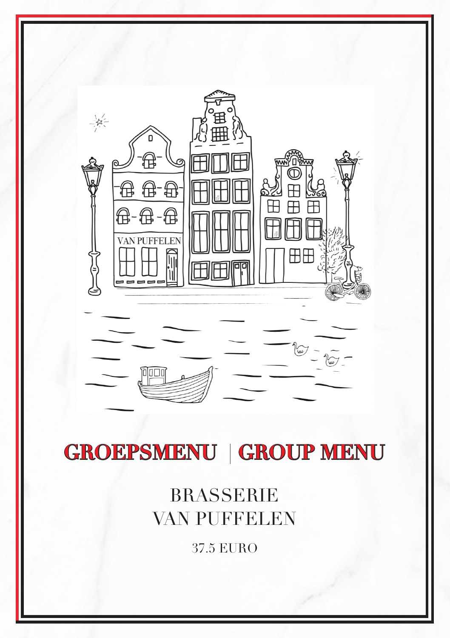

37.5 EURO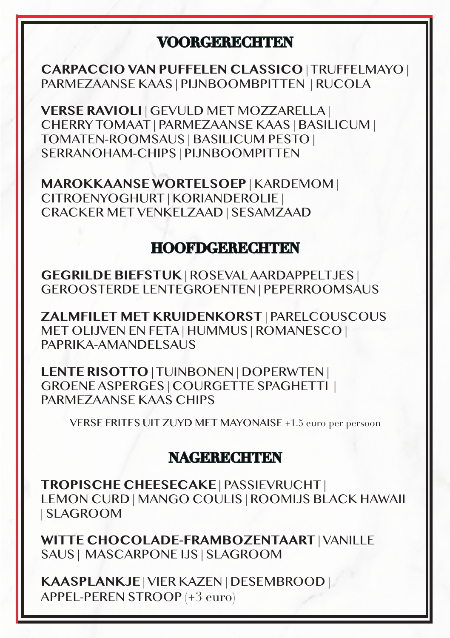### **VOORGERECHTEN**

**CARPACCIO VAN PUFFELEN CLASSICO** | TRUFFELMAYO | PARMEZAANSE KAAS | PIJNBOOMBPITTEN | RUCOLA

**VERSE RAVIOLI** | GEVULD MET MOZZARELLA | CHERRY TOMAAT | PARMEZAANSE KAAS | BASILICUM | TOMATEN-ROOMSAUS | BASILICUM PESTO | SERRANOHAM-CHIPS | PIJNBOOMPITTEN

**MAROKKAANSE WORTELSOEP** | KARDEMOM | CITROENYOGHURT | KORIANDEROLIE | CRACKER MET VENKELZAAD | SESAMZAAD

### **HOOFDGERECHTEN**

**GEGRILDE BIEFSTUK** | ROSEVAL AARDAPPELTJES | GEROOSTERDE LENTEGROENTEN | PEPERROOMSAUS

**ZALMFILET MET KRUIDENKORST** | PARELCOUSCOUS MET OLIJVEN EN FETA | HUMMUS | ROMANESCO | PAPRIKA-AMANDELSAUS

**LENTE RISOTTO** | TUINBONEN | DOPERWTEN | GROENE ASPERGES | COURGETTE SPAGHETTI | PARMEZAANSE KAAS CHIPS

VERSE FRITES UIT ZUYD MET MAYONAISE +1.5 euro per persoon

#### **NAGERECHTEN**

**TROPISCHE CHEESECAKE** | PASSIEVRUCHT | LEMON CURD | MANGO COULIS | ROOMIJS BLACK HAWAII | SLAGROOM

**WITTE CHOCOLADE-FRAMBOZENTAART** | VANILLE SAUS | MASCARPONE IJS | SLAGROOM

**KAASPLANKJE** | VIER KAZEN | DESEMBROOD | APPEL-PEREN STROOP (+3 euro)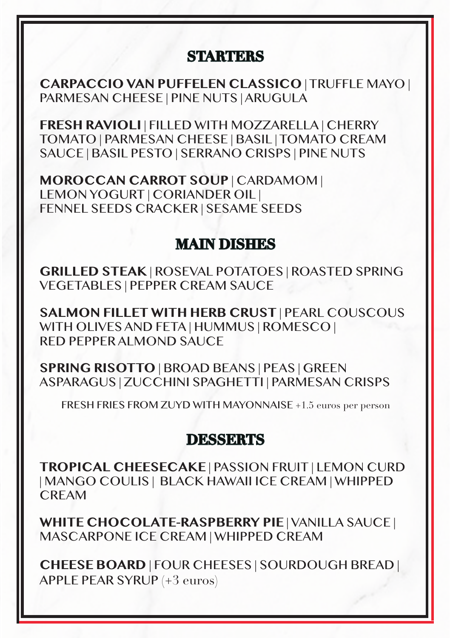# **STARTERS**

**CARPACCIO VAN PUFFELEN CLASSICO** | TRUFFLE MAYO | PARMESAN CHEESE | PINE NUTS | ARUGULA

**FRESH RAVIOLI** | FILLED WITH MOZZARELLA | CHERRY TOMATO | PARMESAN CHEESE | BASIL | TOMATO CREAM SAUCE | BASIL PESTO | SERRANO CRISPS | PINE NUTS

**MOROCCAN CARROT SOUP** | CARDAMOM | LEMON YOGURT | CORIANDER OIL | FENNEL SEEDS CRACKER | SESAME SEEDS

# **MAIN DISHES**

**GRILLED STEAK** | ROSEVAL POTATOES | ROASTED SPRING VEGETABLES | PEPPER CREAM SAUCE

**SALMON FILLET WITH HERB CRUST** | PEARL COUSCOUS WITH OLIVES AND FETA | HUMMUS | ROMESCO | RED PEPPER ALMOND SAUCE

**SPRING RISOTTO** | BROAD BEANS | PEAS | GREEN ASPARAGUS | ZUCCHINI SPAGHETTI | PARMESAN CRISPS

FRESH FRIES FROM ZUYD WITH MAYONNAISE +1.5 euros per person

#### **DESSERTS**

**TROPICAL CHEESECAKE** | PASSION FRUIT | LEMON CURD | MANGO COULIS | BLACK HAWAII ICE CREAM | WHIPPED CREAM

**WHITE CHOCOLATE-RASPBERRY PIE** | VANILLA SAUCE | MASCARPONE ICE CREAM | WHIPPED CREAM

**CHEESE BOARD** | FOUR CHEESES | SOURDOUGH BREAD | APPLE PEAR SYRUP (+3 euros)